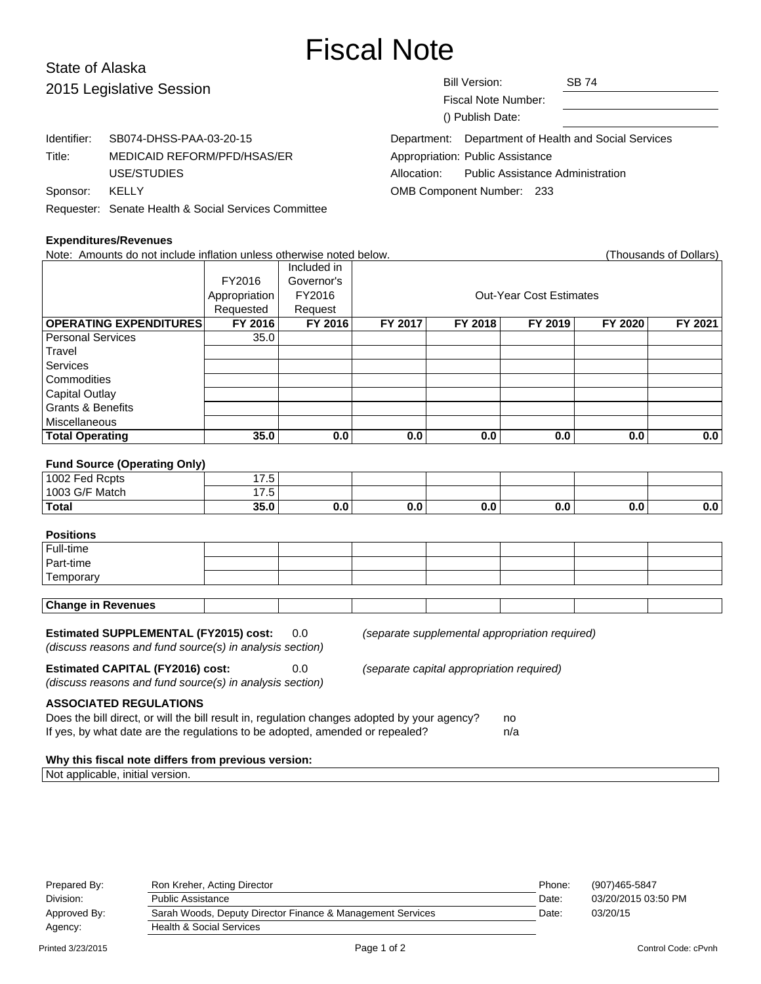# Fiscal Note

# State of Alaska 2015 Legislative Session

| 2015 Legislative Session |                                                      | <b>Bill Version:</b><br>Fiscal Note Number:<br>() Publish Date: | <b>SB 74</b> |  |  |
|--------------------------|------------------------------------------------------|-----------------------------------------------------------------|--------------|--|--|
| Identifier:              | SB074-DHSS-PAA-03-20-15                              | Department: Department of Health and Social Services            |              |  |  |
| Title:                   | MEDICAID REFORM/PFD/HSAS/ER                          | Appropriation: Public Assistance                                |              |  |  |
|                          | USE/STUDIES                                          | <b>Public Assistance Administration</b><br>Allocation:          |              |  |  |
| Sponsor:                 | KELLY                                                | <b>OMB Component Number: 233</b>                                |              |  |  |
|                          | Requester: Senate Health & Social Services Committee |                                                                 |              |  |  |

## **Expe**

| Requester. Seriate Fleature Social Services Committee                |               |             |                                |         |         |         |                        |
|----------------------------------------------------------------------|---------------|-------------|--------------------------------|---------|---------|---------|------------------------|
| <b>Expenditures/Revenues</b>                                         |               |             |                                |         |         |         |                        |
| Note: Amounts do not include inflation unless otherwise noted below. |               |             |                                |         |         |         | (Thousands of Dollars) |
|                                                                      |               | Included in |                                |         |         |         |                        |
|                                                                      | FY2016        | Governor's  |                                |         |         |         |                        |
|                                                                      | Appropriation | FY2016      | <b>Out-Year Cost Estimates</b> |         |         |         |                        |
|                                                                      | Requested     | Request     |                                |         |         |         |                        |
| <b>OPERATING EXPENDITURES</b>                                        | FY 2016       | FY 2016     | FY 2017                        | FY 2018 | FY 2019 | FY 2020 | FY 2021                |
| <b>Personal Services</b>                                             | 35.0          |             |                                |         |         |         |                        |
| Travel                                                               |               |             |                                |         |         |         |                        |
| <b>Services</b>                                                      |               |             |                                |         |         |         |                        |
| Commodities                                                          |               |             |                                |         |         |         |                        |
| Capital Outlay                                                       |               |             |                                |         |         |         |                        |
| <b>Grants &amp; Benefits</b>                                         |               |             |                                |         |         |         |                        |
| Miscellaneous                                                        |               |             |                                |         |         |         |                        |
| <b>Total Operating</b>                                               | 35.0          | 0.0         | 0.0                            | 0.0     | 0.0     | 0.0     | 0.0                    |
|                                                                      |               |             |                                |         |         |         |                        |
| <b>Fund Source (Operating Only)</b>                                  |               |             |                                |         |         |         |                        |
| 1002 Fed Rcpts                                                       | 17.5          |             |                                |         |         |         |                        |
| 1003 G/F Match                                                       | 17.5          |             |                                |         |         |         |                        |
| <b>Total</b>                                                         | 35.0          | 0.0         | 0.0                            | 0.0     | 0.0     | 0.0     | 0.0                    |

## **Positions**

| .                      |  |  |  |  |
|------------------------|--|--|--|--|
| Full-time              |  |  |  |  |
| Part-time              |  |  |  |  |
| <sup>I</sup> Temporary |  |  |  |  |
|                        |  |  |  |  |

# **Change in Revenues**

**Estimated SUPPLEMENTAL (FY2015) cost:** 0.0 (separate supplemental appropriation required) (discuss reasons and fund source(s) in analysis section)

**Estimated CAPITAL (FY2016) cost:** 0.0 (separate capital appropriation required)

(discuss reasons and fund source(s) in analysis section)

#### **ASSOCIATED REGULATIONS**

| Does the bill direct, or will the bill result in, regulation changes adopted by your agency? | no. |
|----------------------------------------------------------------------------------------------|-----|
| If yes, by what date are the regulations to be adopted, amended or repealed?                 | n/a |

#### **Why this fiscal note differs from previous version:**

Not applicable, initial version.

| (907)465-5847       |
|---------------------|
| 03/20/2015 03:50 PM |
| 03/20/15            |
|                     |
|                     |